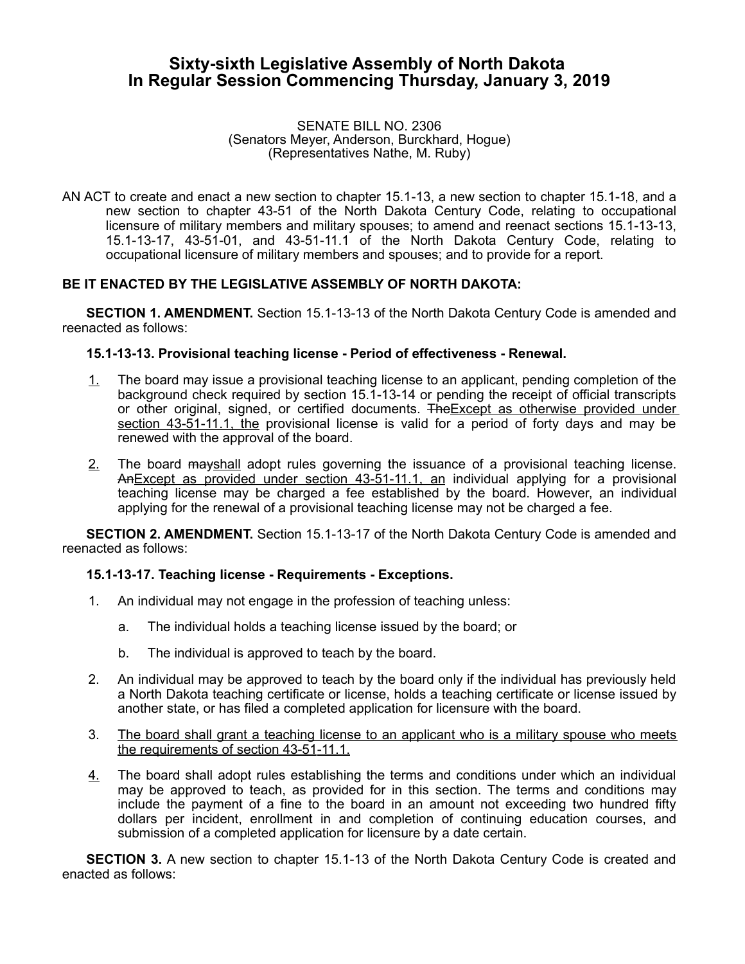# **Sixty-sixth Legislative Assembly of North Dakota In Regular Session Commencing Thursday, January 3, 2019**

#### SENATE BILL NO. 2306 (Senators Meyer, Anderson, Burckhard, Hogue) (Representatives Nathe, M. Ruby)

AN ACT to create and enact a new section to chapter 15.1-13, a new section to chapter 15.1-18, and a new section to chapter 43-51 of the North Dakota Century Code, relating to occupational licensure of military members and military spouses; to amend and reenact sections 15.1-13-13, 15.1-13-17, 43-51-01, and 43-51-11.1 of the North Dakota Century Code, relating to occupational licensure of military members and spouses; and to provide for a report.

# **BE IT ENACTED BY THE LEGISLATIVE ASSEMBLY OF NORTH DAKOTA:**

**SECTION 1. AMENDMENT.** Section 15.1-13-13 of the North Dakota Century Code is amended and reenacted as follows:

# **15.1-13-13. Provisional teaching license - Period of effectiveness - Renewal.**

- 1. The board may issue a provisional teaching license to an applicant, pending completion of the background check required by section 15.1-13-14 or pending the receipt of official transcripts or other original, signed, or certified documents. TheExcept as otherwise provided under section 43-51-11.1, the provisional license is valid for a period of forty days and may be renewed with the approval of the board.
- 2. The board mayshall adopt rules governing the issuance of a provisional teaching license. An Except as provided under section 43-51-11.1, an individual applying for a provisional teaching license may be charged a fee established by the board. However, an individual applying for the renewal of a provisional teaching license may not be charged a fee.

**SECTION 2. AMENDMENT.** Section 15.1-13-17 of the North Dakota Century Code is amended and reenacted as follows:

### **15.1-13-17. Teaching license - Requirements - Exceptions.**

- 1. An individual may not engage in the profession of teaching unless:
	- a. The individual holds a teaching license issued by the board; or
	- b. The individual is approved to teach by the board.
- 2. An individual may be approved to teach by the board only if the individual has previously held a North Dakota teaching certificate or license, holds a teaching certificate or license issued by another state, or has filed a completed application for licensure with the board.
- 3. The board shall grant a teaching license to an applicant who is a military spouse who meets the requirements of section 43-51-11.1.
- 4. The board shall adopt rules establishing the terms and conditions under which an individual may be approved to teach, as provided for in this section. The terms and conditions may include the payment of a fine to the board in an amount not exceeding two hundred fifty dollars per incident, enrollment in and completion of continuing education courses, and submission of a completed application for licensure by a date certain.

**SECTION 3.** A new section to chapter 15.1-13 of the North Dakota Century Code is created and enacted as follows: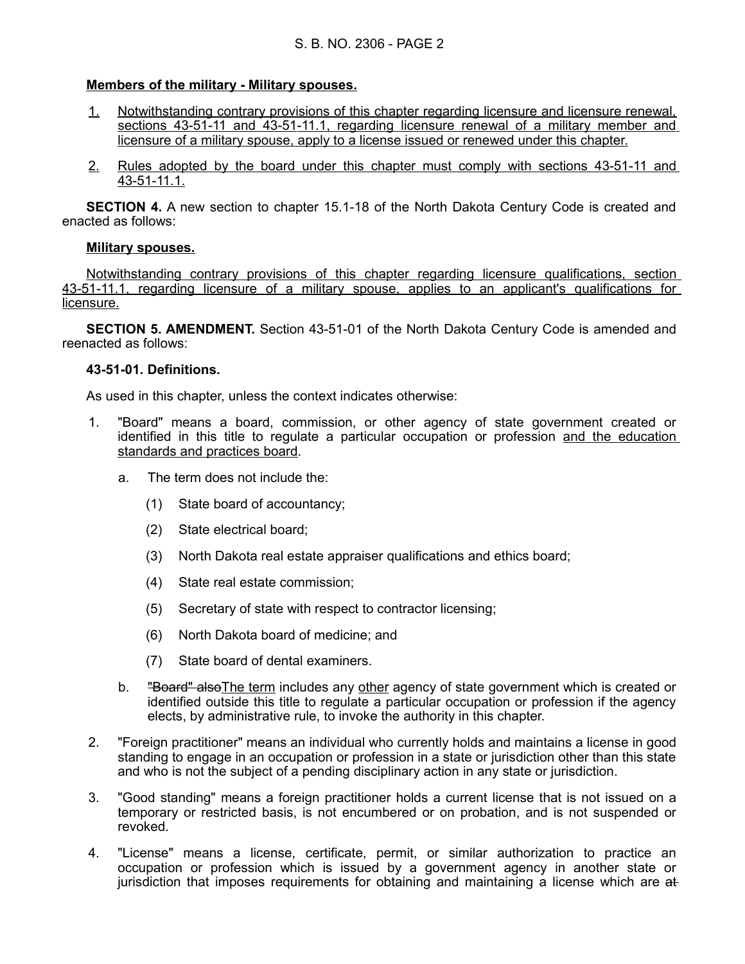# **Members of the military - Military spouses.**

- 1. Notwithstanding contrary provisions of this chapter regarding licensure and licensure renewal, sections 43-51-11 and 43-51-11.1, regarding licensure renewal of a military member and licensure of a military spouse, apply to a license issued or renewed under this chapter.
- 2. Rules adopted by the board under this chapter must comply with sections 43-51-11 and 43-51-11.1.

**SECTION 4.** A new section to chapter 15.1-18 of the North Dakota Century Code is created and enacted as follows:

# **Military spouses.**

Notwithstanding contrary provisions of this chapter regarding licensure qualifications, section 43 - 51 - 11.1, regarding licensure of a military spouse, applies to an applicant's qualifications for licensure.

**SECTION 5. AMENDMENT.** Section 43-51-01 of the North Dakota Century Code is amended and reenacted as follows:

# **43-51-01. Definitions.**

As used in this chapter, unless the context indicates otherwise:

- 1. "Board" means a board, commission, or other agency of state government created or identified in this title to regulate a particular occupation or profession and the education standards and practices board.
	- a. The term does not include the:
		- (1) State board of accountancy;
		- (2) State electrical board;
		- (3) North Dakota real estate appraiser qualifications and ethics board;
		- (4) State real estate commission;
		- (5) Secretary of state with respect to contractor licensing;
		- (6) North Dakota board of medicine; and
		- (7) State board of dental examiners.
	- b. **"Board" also**The term includes any other agency of state government which is created or identified outside this title to regulate a particular occupation or profession if the agency elects, by administrative rule, to invoke the authority in this chapter.
- 2. "Foreign practitioner" means an individual who currently holds and maintains a license in good standing to engage in an occupation or profession in a state or jurisdiction other than this state and who is not the subject of a pending disciplinary action in any state or jurisdiction.
- 3. "Good standing" means a foreign practitioner holds a current license that is not issued on a temporary or restricted basis, is not encumbered or on probation, and is not suspended or revoked.
- 4. "License" means a license, certificate, permit, or similar authorization to practice an occupation or profession which is issued by a government agency in another state or jurisdiction that imposes requirements for obtaining and maintaining a license which are at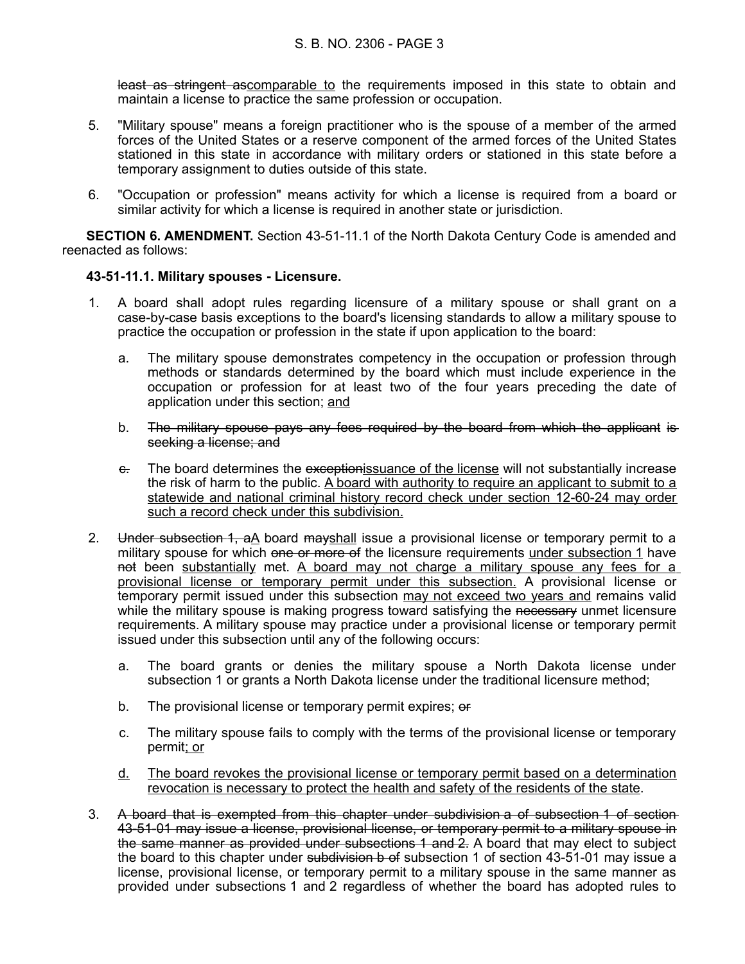least as stringent ascomparable to the requirements imposed in this state to obtain and maintain a license to practice the same profession or occupation.

- 5. "Military spouse" means a foreign practitioner who is the spouse of a member of the armed forces of the United States or a reserve component of the armed forces of the United States stationed in this state in accordance with military orders or stationed in this state before a temporary assignment to duties outside of this state.
- 6. "Occupation or profession" means activity for which a license is required from a board or similar activity for which a license is required in another state or jurisdiction.

**SECTION 6. AMENDMENT.** Section 43-51-11.1 of the North Dakota Century Code is amended and reenacted as follows:

### **43-51-11.1. Military spouses - Licensure.**

- 1. A board shall adopt rules regarding licensure of a military spouse or shall grant on a case-by-case basis exceptions to the board's licensing standards to allow a military spouse to practice the occupation or profession in the state if upon application to the board:
	- a. The military spouse demonstrates competency in the occupation or profession through methods or standards determined by the board which must include experience in the occupation or profession for at least two of the four years preceding the date of application under this section; and
	- b. The military spouse pays any fees required by the board from which the applicant is seeking a license; and
	- e. The board determines the exceptionissuance of the license will not substantially increase the risk of harm to the public. A board with authority to require an applicant to submit to a statewide and national criminal history record check under section 12-60-24 may order such a record check under this subdivision.
- 2. Under subsection 1, aA board mayshall issue a provisional license or temporary permit to a military spouse for which one or more of the licensure requirements under subsection 1 have not been substantially met. A board may not charge a military spouse any fees for a provisional license or temporary permit under this subsection. A provisional license or temporary permit issued under this subsection may not exceed two years and remains valid while the military spouse is making progress toward satisfying the necessary unmet licensure requirements. A military spouse may practice under a provisional license or temporary permit issued under this subsection until any of the following occurs:
	- a. The board grants or denies the military spouse a North Dakota license under subsection 1 or grants a North Dakota license under the traditional licensure method;
	- b. The provisional license or temporary permit expires; or
	- c. The military spouse fails to comply with the terms of the provisional license or temporary permit; or
	- d. The board revokes the provisional license or temporary permit based on a determination revocation is necessary to protect the health and safety of the residents of the state.
- 3. A board that is exempted from this chapter under subdivision a of subsection 1 of section 43-51-01 may issue a license, provisional license, or temporary permit to a military spouse in the same manner as provided under subsections 1 and 2. A board that may elect to subject the board to this chapter under subdivision b of subsection 1 of section 43-51-01 may issue a license, provisional license, or temporary permit to a military spouse in the same manner as provided under subsections 1 and 2 regardless of whether the board has adopted rules to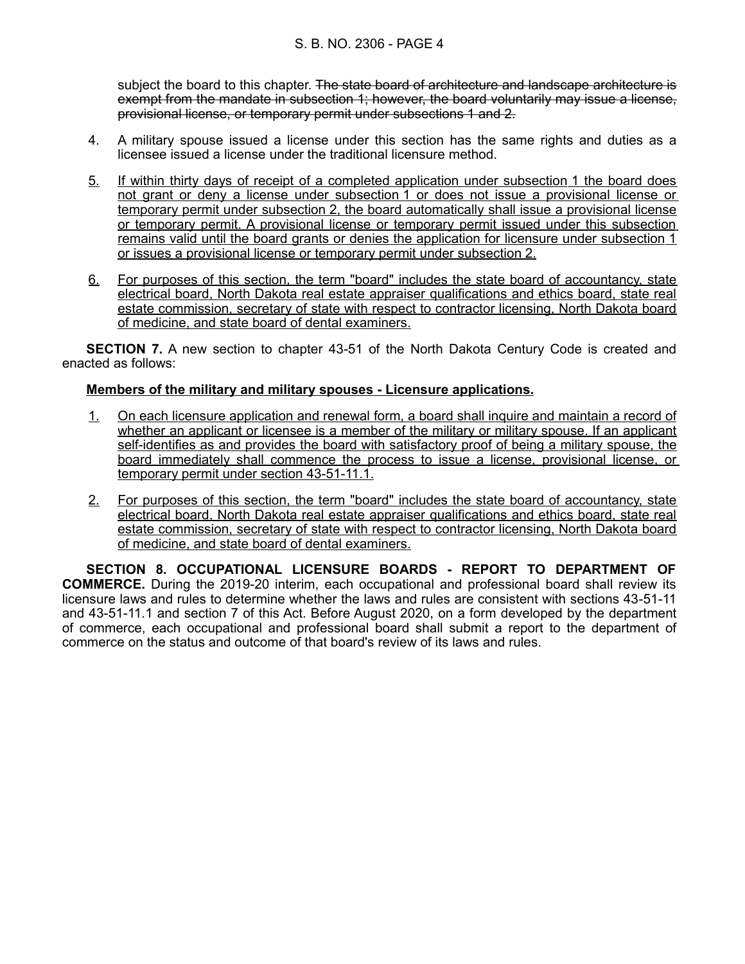subject the board to this chapter. The state board of architecture and landscape architecture is exempt from the mandate in subsection 1; however, the board voluntarily may issue a license, provisional license, or temporary permit under subsections 1 and 2.

- 4. A military spouse issued a license under this section has the same rights and duties as a licensee issued a license under the traditional licensure method.
- 5. If within thirty days of receipt of a completed application under subsection 1 the board does not grant or deny a license under subsection 1 or does not issue a provisional license or temporary permit under subsection 2, the board automatically shall issue a provisional license or temporary permit. A provisional license or temporary permit issued under this subsection remains valid until the board grants or denies the application for licensure under subsection 1 or issues a provisional license or temporary permit under subsection 2.
- 6. For purposes of this section, the term "board" includes the state board of accountancy, state electrical board, North Dakota real estate appraiser qualifications and ethics board, state real estate commission, secretary of state with respect to contractor licensing, North Dakota board of medicine, and state board of dental examiners.

**SECTION 7.** A new section to chapter 43-51 of the North Dakota Century Code is created and enacted as follows:

# **Members of the military and military spouses - Licensure applications.**

- 1. On each licensure application and renewal form, a board shall inquire and maintain a record of whether an applicant or licensee is a member of the military or military spouse. If an applicant self-identifies as and provides the board with satisfactory proof of being a military spouse, the board immediately shall commence the process to issue a license, provisional license, or temporary permit under section 43-51-11.1.
- 2. For purposes of this section, the term "board" includes the state board of accountancy, state electrical board, North Dakota real estate appraiser qualifications and ethics board, state real estate commission, secretary of state with respect to contractor licensing, North Dakota board of medicine, and state board of dental examiners.

**SECTION 8. OCCUPATIONAL LICENSURE BOARDS - REPORT TO DEPARTMENT OF COMMERCE.** During the 2019-20 interim, each occupational and professional board shall review its licensure laws and rules to determine whether the laws and rules are consistent with sections 43-51-11 and 43-51-11.1 and section 7 of this Act. Before August 2020, on a form developed by the department of commerce, each occupational and professional board shall submit a report to the department of commerce on the status and outcome of that board's review of its laws and rules.